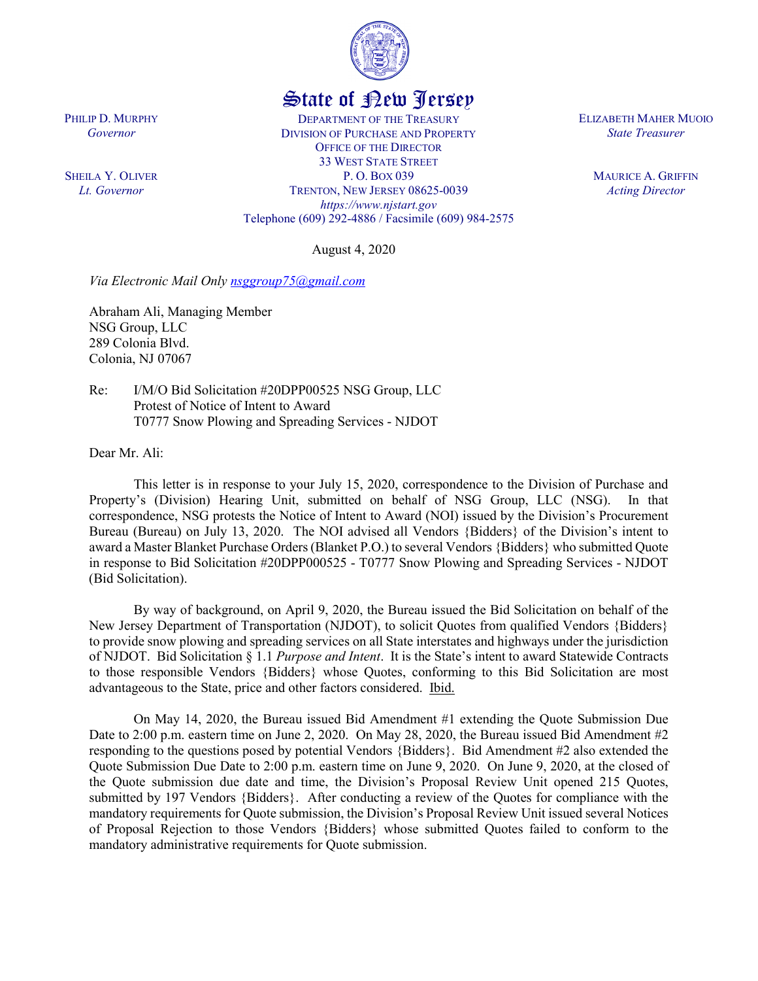

## State of New Jersey

DEPARTMENT OF THE TREASURY DIVISION OF PURCHASE AND PROPERTY OFFICE OF THE DIRECTOR 33 WEST STATE STREET P. O. BOX 039 TRENTON, NEW JERSEY 08625-0039 *https://www.njstart.gov* Telephone (609) 292-4886 / Facsimile (609) 984-2575

August 4, 2020

*Via Electronic Mail Only [nsggroup75@gmail.com](mailto:nsggroup75@gmail.com)*

Abraham Ali, Managing Member NSG Group, LLC 289 Colonia Blvd. Colonia, NJ 07067

Re: I/M/O Bid Solicitation #20DPP00525 NSG Group, LLC Protest of Notice of Intent to Award T0777 Snow Plowing and Spreading Services - NJDOT

Dear Mr. Ali:

PHILIP D. MURPHY *Governor*

SHEILA Y. OLIVER *Lt. Governor*

> This letter is in response to your July 15, 2020, correspondence to the Division of Purchase and Property's (Division) Hearing Unit, submitted on behalf of NSG Group, LLC (NSG). In that correspondence, NSG protests the Notice of Intent to Award (NOI) issued by the Division's Procurement Bureau (Bureau) on July 13, 2020. The NOI advised all Vendors {Bidders} of the Division's intent to award a Master Blanket Purchase Orders(Blanket P.O.) to several Vendors {Bidders} who submitted Quote in response to Bid Solicitation #20DPP000525 - T0777 Snow Plowing and Spreading Services - NJDOT (Bid Solicitation).

> By way of background, on April 9, 2020, the Bureau issued the Bid Solicitation on behalf of the New Jersey Department of Transportation (NJDOT), to solicit Quotes from qualified Vendors {Bidders} to provide snow plowing and spreading services on all State interstates and highways under the jurisdiction of NJDOT. Bid Solicitation § 1.1 *Purpose and Intent*. It is the State's intent to award Statewide Contracts to those responsible Vendors {Bidders} whose Quotes, conforming to this Bid Solicitation are most advantageous to the State, price and other factors considered. Ibid.

> On May 14, 2020, the Bureau issued Bid Amendment #1 extending the Quote Submission Due Date to 2:00 p.m. eastern time on June 2, 2020. On May 28, 2020, the Bureau issued Bid Amendment #2 responding to the questions posed by potential Vendors {Bidders}. Bid Amendment #2 also extended the Quote Submission Due Date to 2:00 p.m. eastern time on June 9, 2020. On June 9, 2020, at the closed of the Quote submission due date and time, the Division's Proposal Review Unit opened 215 Quotes, submitted by 197 Vendors {Bidders}. After conducting a review of the Quotes for compliance with the mandatory requirements for Quote submission, the Division's Proposal Review Unit issued several Notices of Proposal Rejection to those Vendors {Bidders} whose submitted Quotes failed to conform to the mandatory administrative requirements for Quote submission.

ELIZABETH MAHER MUOIO *State Treasurer*

> MAURICE A. GRIFFIN *Acting Director*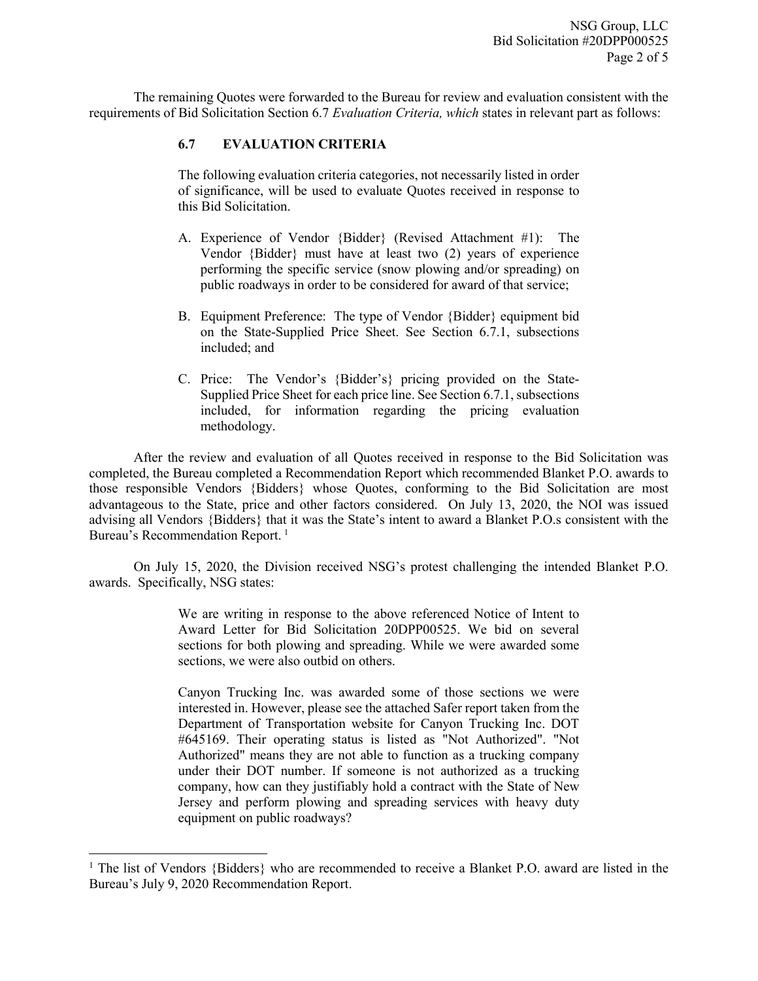The remaining Quotes were forwarded to the Bureau for review and evaluation consistent with the requirements of Bid Solicitation Section 6.7 *Evaluation Criteria, which* states in relevant part as follows:

## **6.7 EVALUATION CRITERIA**

The following evaluation criteria categories, not necessarily listed in order of significance, will be used to evaluate Quotes received in response to this Bid Solicitation.

- A. Experience of Vendor {Bidder} (Revised Attachment #1): The Vendor {Bidder} must have at least two (2) years of experience performing the specific service (snow plowing and/or spreading) on public roadways in order to be considered for award of that service;
- B. Equipment Preference: The type of Vendor {Bidder} equipment bid on the State-Supplied Price Sheet. See Section 6.7.1, subsections included; and
- C. Price: The Vendor's {Bidder's} pricing provided on the State-Supplied Price Sheet for each price line. See Section 6.7.1, subsections included, for information regarding the pricing evaluation methodology.

After the review and evaluation of all Quotes received in response to the Bid Solicitation was completed, the Bureau completed a Recommendation Report which recommended Blanket P.O. awards to those responsible Vendors {Bidders} whose Quotes, conforming to the Bid Solicitation are most advantageous to the State, price and other factors considered. On July 13, 2020, the NOI was issued advising all Vendors {Bidders} that it was the State's intent to award a Blanket P.O.s consistent with the Bureau's Recommendation Report.<sup>[1](#page-1-0)</sup>

On July 15, 2020, the Division received NSG's protest challenging the intended Blanket P.O. awards. Specifically, NSG states:

> We are writing in response to the above referenced Notice of Intent to Award Letter for Bid Solicitation 20DPP00525. We bid on several sections for both plowing and spreading. While we were awarded some sections, we were also outbid on others.

> Canyon Trucking Inc. was awarded some of those sections we were interested in. However, please see the attached Safer report taken from the Department of Transportation website for Canyon Trucking Inc. DOT #645169. Their operating status is listed as "Not Authorized". "Not Authorized" means they are not able to function as a trucking company under their DOT number. If someone is not authorized as a trucking company, how can they justifiably hold a contract with the State of New Jersey and perform plowing and spreading services with heavy duty equipment on public roadways?

l

<span id="page-1-0"></span><sup>&</sup>lt;sup>1</sup> The list of Vendors {Bidders} who are recommended to receive a Blanket P.O. award are listed in the Bureau's July 9, 2020 Recommendation Report.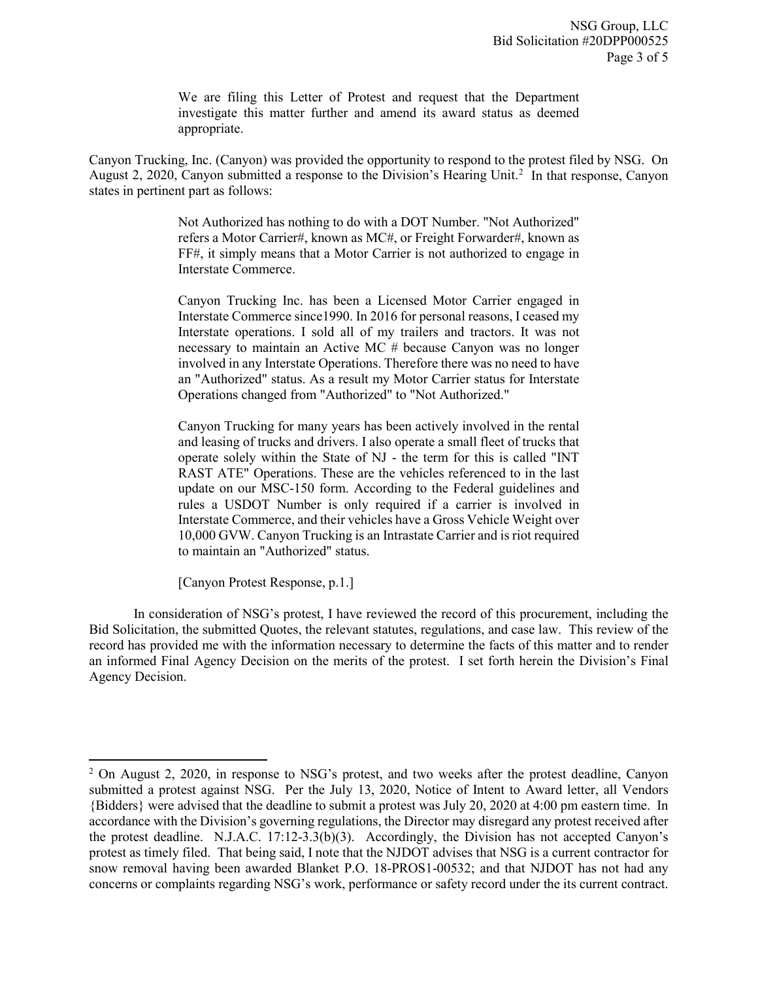We are filing this Letter of Protest and request that the Department investigate this matter further and amend its award status as deemed appropriate.

Canyon Trucking, Inc. (Canyon) was provided the opportunity to respond to the protest filed by NSG. On August [2](#page-2-0), 2020, Canyon submitted a response to the Division's Hearing Unit.<sup>2</sup> In that response, Canyon states in pertinent part as follows:

> Not Authorized has nothing to do with a DOT Number. "Not Authorized" refers a Motor Carrier#, known as MC#, or Freight Forwarder#, known as FF#, it simply means that a Motor Carrier is not authorized to engage in Interstate Commerce.

> Canyon Trucking Inc. has been a Licensed Motor Carrier engaged in Interstate Commerce since1990. In 2016 for personal reasons, I ceased my Interstate operations. I sold all of my trailers and tractors. It was not necessary to maintain an Active MC # because Canyon was no longer involved in any Interstate Operations. Therefore there was no need to have an "Authorized" status. As a result my Motor Carrier status for Interstate Operations changed from "Authorized" to "Not Authorized."

> Canyon Trucking for many years has been actively involved in the rental and leasing of trucks and drivers. I also operate a small fleet of trucks that operate solely within the State of NJ - the term for this is called "INT RAST ATE" Operations. These are the vehicles referenced to in the last update on our MSC-150 form. According to the Federal guidelines and rules a USDOT Number is only required if a carrier is involved in Interstate Commerce, and their vehicles have a Gross Vehicle Weight over 10,000 GVW. Canyon Trucking is an Intrastate Carrier and is riot required to maintain an "Authorized" status.

[Canyon Protest Response, p.1.]

l

In consideration of NSG's protest, I have reviewed the record of this procurement, including the Bid Solicitation, the submitted Quotes, the relevant statutes, regulations, and case law. This review of the record has provided me with the information necessary to determine the facts of this matter and to render an informed Final Agency Decision on the merits of the protest. I set forth herein the Division's Final Agency Decision.

<span id="page-2-0"></span> $2$  On August 2, 2020, in response to NSG's protest, and two weeks after the protest deadline, Canyon submitted a protest against NSG. Per the July 13, 2020, Notice of Intent to Award letter, all Vendors {Bidders} were advised that the deadline to submit a protest was July 20, 2020 at 4:00 pm eastern time. In accordance with the Division's governing regulations, the Director may disregard any protest received after the protest deadline. N.J.A.C. 17:12-3.3(b)(3). Accordingly, the Division has not accepted Canyon's protest as timely filed. That being said, I note that the NJDOT advises that NSG is a current contractor for snow removal having been awarded Blanket P.O. 18-PROS1-00532; and that NJDOT has not had any concerns or complaints regarding NSG's work, performance or safety record under the its current contract.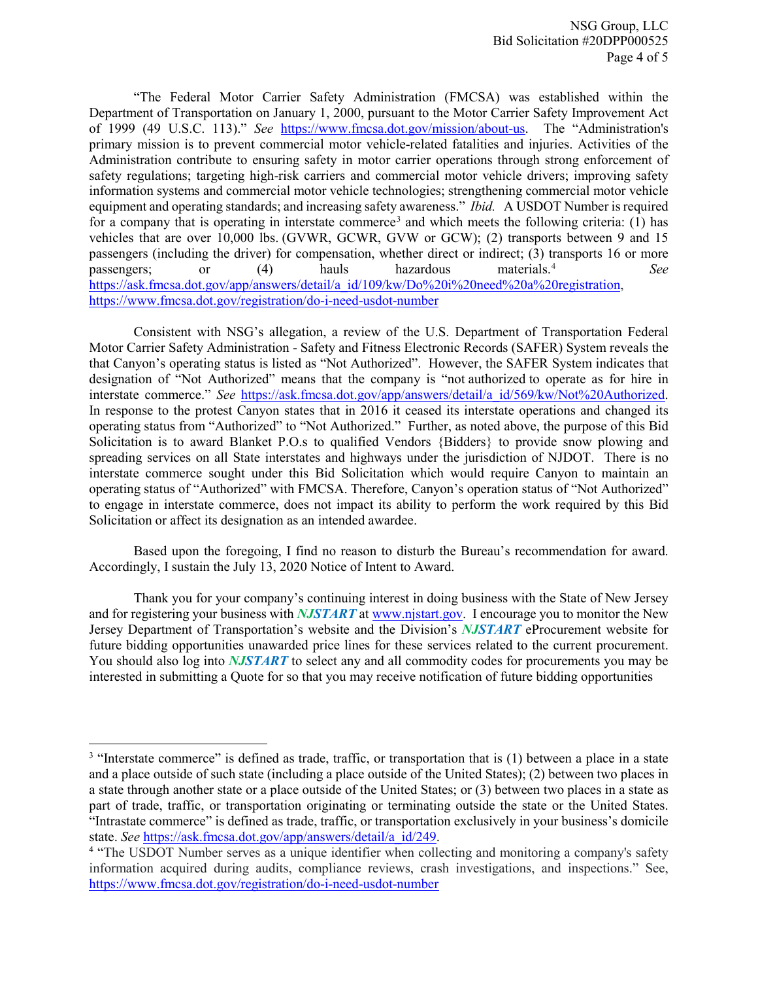"The Federal Motor Carrier Safety Administration (FMCSA) was established within the Department of Transportation on January 1, 2000, pursuant to the Motor Carrier Safety Improvement Act of 1999 (49 U.S.C. 113)." *See* [https://www.fmcsa.dot.gov/mission/about-us.](https://www.fmcsa.dot.gov/mission/about-us) The "Administration's primary mission is to prevent commercial motor vehicle-related fatalities and injuries. Activities of the Administration contribute to ensuring safety in motor carrier operations through strong enforcement of safety regulations; targeting high-risk carriers and commercial motor vehicle drivers; improving safety information systems and commercial motor vehicle technologies; strengthening commercial motor vehicle equipment and operating standards; and increasing safety awareness." *Ibid.* A USDOT Number is required for a company that is operating in interstate commerce<sup>[3](#page-3-0)</sup> and which meets the following criteria: (1) has vehicles that are over 10,000 lbs. (GVWR, GCWR, GVW or GCW); (2) transports between 9 and 15 passengers (including the driver) for compensation, whether direct or indirect; (3) transports 16 or more passengers; or (4) hauls hazardous materials.<sup>[4](#page-3-1)</sup> *See* [https://ask.fmcsa.dot.gov/app/answers/detail/a\\_id/109/kw/Do%20i%20need%20a%20registration,](https://ask.fmcsa.dot.gov/app/answers/detail/a_id/109/kw/Do%20i%20need%20a%20registration) <https://www.fmcsa.dot.gov/registration/do-i-need-usdot-number>

Consistent with NSG's allegation, a review of the U.S. Department of Transportation Federal Motor Carrier Safety Administration - Safety and Fitness Electronic Records (SAFER) System reveals the that Canyon's operating status is listed as "Not Authorized". However, the SAFER System indicates that designation of "Not Authorized" means that the company is "not authorized to operate as for hire in interstate commerce." *See* [https://ask.fmcsa.dot.gov/app/answers/detail/a\\_id/569/kw/Not%20Authorized.](https://ask.fmcsa.dot.gov/app/answers/detail/a_id/569/kw/Not%20Authorized) In response to the protest Canyon states that in 2016 it ceased its interstate operations and changed its operating status from "Authorized" to "Not Authorized." Further, as noted above, the purpose of this Bid Solicitation is to award Blanket P.O.s to qualified Vendors {Bidders} to provide snow plowing and spreading services on all State interstates and highways under the jurisdiction of NJDOT. There is no interstate commerce sought under this Bid Solicitation which would require Canyon to maintain an operating status of "Authorized" with FMCSA. Therefore, Canyon's operation status of "Not Authorized" to engage in interstate commerce, does not impact its ability to perform the work required by this Bid Solicitation or affect its designation as an intended awardee.

Based upon the foregoing, I find no reason to disturb the Bureau's recommendation for award. Accordingly, I sustain the July 13, 2020 Notice of Intent to Award.

Thank you for your company's continuing interest in doing business with the State of New Jersey and for registering your business with *NJSTART* a[t www.njstart.gov.](http://www.njstart.gov/) I encourage you to monitor the New Jersey Department of Transportation's website and the Division's *NJSTART* eProcurement website for future bidding opportunities unawarded price lines for these services related to the current procurement. You should also log into **NJSTART** to select any and all commodity codes for procurements you may be interested in submitting a Quote for so that you may receive notification of future bidding opportunities

l

<span id="page-3-0"></span><sup>&</sup>lt;sup>3</sup> "Interstate commerce" is defined as trade, traffic, or transportation that is (1) between a place in a state and a place outside of such state (including a place outside of the United States); (2) between two places in a state through another state or a place outside of the United States; or (3) between two places in a state as part of trade, traffic, or transportation originating or terminating outside the state or the United States. "Intrastate commerce" is defined as trade, traffic, or transportation exclusively in your business's domicile state. *See* [https://ask.fmcsa.dot.gov/app/answers/detail/a\\_id/249.](https://ask.fmcsa.dot.gov/app/answers/detail/a_id/249)

<span id="page-3-1"></span><sup>&</sup>lt;sup>4</sup> "The USDOT Number serves as a unique identifier when collecting and monitoring a company's safety information acquired during audits, compliance reviews, crash investigations, and inspections." See, <https://www.fmcsa.dot.gov/registration/do-i-need-usdot-number>